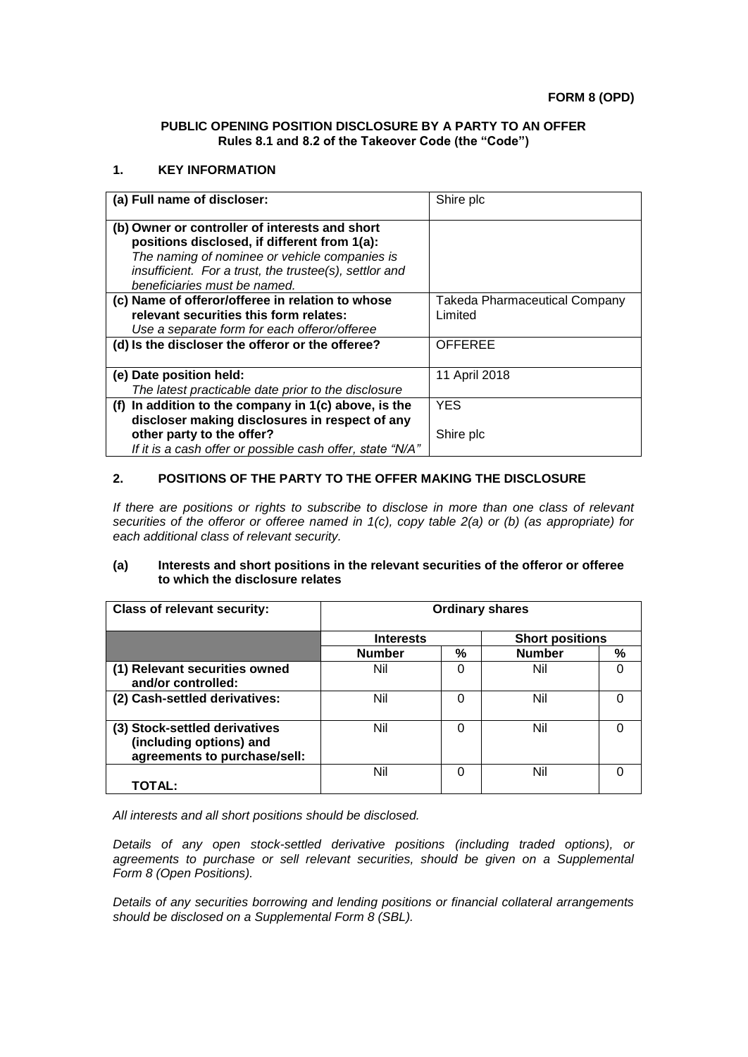### **PUBLIC OPENING POSITION DISCLOSURE BY A PARTY TO AN OFFER Rules 8.1 and 8.2 of the Takeover Code (the "Code")**

### **1. KEY INFORMATION**

| (a) Full name of discloser:                               | Shire plc                            |
|-----------------------------------------------------------|--------------------------------------|
| (b) Owner or controller of interests and short            |                                      |
| positions disclosed, if different from 1(a):              |                                      |
| The naming of nominee or vehicle companies is             |                                      |
| insufficient. For a trust, the trustee(s), settlor and    |                                      |
| beneficiaries must be named.                              |                                      |
| (c) Name of offeror/offeree in relation to whose          | <b>Takeda Pharmaceutical Company</b> |
| relevant securities this form relates:                    | Limited                              |
| Use a separate form for each offeror/offeree              |                                      |
| (d) Is the discloser the offeror or the offeree?          | <b>OFFEREE</b>                       |
|                                                           |                                      |
| (e) Date position held:                                   | 11 April 2018                        |
| The latest practicable date prior to the disclosure       |                                      |
| (f) In addition to the company in $1(c)$ above, is the    | <b>YES</b>                           |
| discloser making disclosures in respect of any            |                                      |
| other party to the offer?                                 | Shire plc                            |
| If it is a cash offer or possible cash offer, state "N/A" |                                      |

# **2. POSITIONS OF THE PARTY TO THE OFFER MAKING THE DISCLOSURE**

*If there are positions or rights to subscribe to disclose in more than one class of relevant securities of the offeror or offeree named in 1(c), copy table 2(a) or (b) (as appropriate) for each additional class of relevant security.*

#### **(a) Interests and short positions in the relevant securities of the offeror or offeree to which the disclosure relates**

| <b>Class of relevant security:</b>                                                       | <b>Ordinary shares</b> |   |                        |   |
|------------------------------------------------------------------------------------------|------------------------|---|------------------------|---|
|                                                                                          | <b>Interests</b>       |   | <b>Short positions</b> |   |
|                                                                                          | <b>Number</b>          | % | <b>Number</b>          | % |
| (1) Relevant securities owned<br>and/or controlled:                                      | Nil                    | ∩ | Nil                    | 0 |
| (2) Cash-settled derivatives:                                                            | Nil                    | U | Nil                    | O |
| (3) Stock-settled derivatives<br>(including options) and<br>agreements to purchase/sell: | Nil                    |   | Nil                    | 0 |
| TOTAL:                                                                                   | Nil                    | n | Nil                    | U |

*All interests and all short positions should be disclosed.*

*Details of any open stock-settled derivative positions (including traded options), or agreements to purchase or sell relevant securities, should be given on a Supplemental Form 8 (Open Positions).*

*Details of any securities borrowing and lending positions or financial collateral arrangements should be disclosed on a Supplemental Form 8 (SBL).*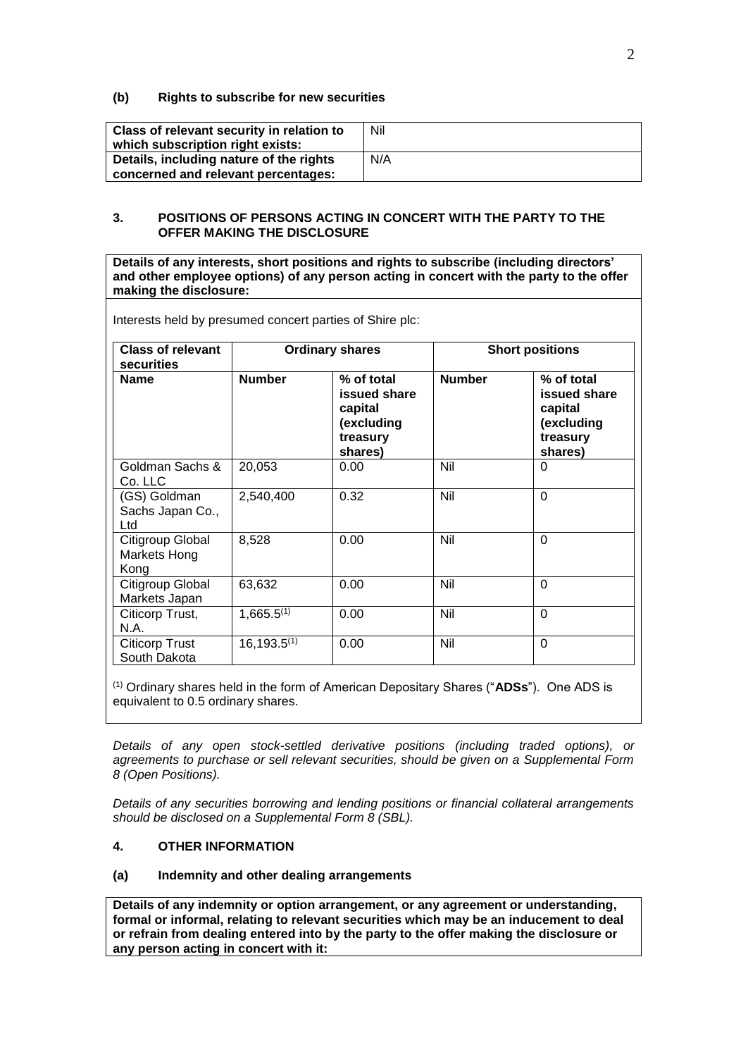## **(b) Rights to subscribe for new securities**

| <b>Class of relevant security in relation to</b><br>which subscription right exists: | Nil |
|--------------------------------------------------------------------------------------|-----|
| Details, including nature of the rights<br>concerned and relevant percentages:       | N/A |

# **3. POSITIONS OF PERSONS ACTING IN CONCERT WITH THE PARTY TO THE OFFER MAKING THE DISCLOSURE**

**Details of any interests, short positions and rights to subscribe (including directors' and other employee options) of any person acting in concert with the party to the offer making the disclosure:**

| <b>Class of relevant</b><br>securities   | <b>Ordinary shares</b> |                                                                            | <b>Short positions</b> |                                                                            |
|------------------------------------------|------------------------|----------------------------------------------------------------------------|------------------------|----------------------------------------------------------------------------|
| <b>Name</b>                              | <b>Number</b>          | % of total<br>issued share<br>capital<br>(excluding<br>treasury<br>shares) | <b>Number</b>          | % of total<br>issued share<br>capital<br>(excluding<br>treasury<br>shares) |
| Goldman Sachs &<br>Co. LLC               | 20,053                 | 0.00                                                                       | Nil                    | 0                                                                          |
| (GS) Goldman<br>Sachs Japan Co.,<br>Ltd  | 2,540,400              | 0.32                                                                       | Nil                    | $\Omega$                                                                   |
| Citigroup Global<br>Markets Hong<br>Kong | 8,528                  | 0.00                                                                       | Nil                    | $\Omega$                                                                   |
| Citigroup Global<br>Markets Japan        | 63,632                 | 0.00                                                                       | Nil                    | $\Omega$                                                                   |
| Citicorp Trust,<br>N.A.                  | $1,665.5^{(1)}$        | 0.00                                                                       | Nil                    | $\overline{0}$                                                             |
| Citicorp Trust<br>South Dakota           | $16,193.5^{(1)}$       | 0.00                                                                       | Nil                    | $\overline{0}$                                                             |

Interests held by presumed concert parties of Shire plc:

(1) Ordinary shares held in the form of American Depositary Shares ("**ADSs**"). One ADS is equivalent to 0.5 ordinary shares.

*Details of any open stock-settled derivative positions (including traded options), or agreements to purchase or sell relevant securities, should be given on a Supplemental Form 8 (Open Positions).*

*Details of any securities borrowing and lending positions or financial collateral arrangements should be disclosed on a Supplemental Form 8 (SBL).*

# **4. OTHER INFORMATION**

#### **(a) Indemnity and other dealing arrangements**

**Details of any indemnity or option arrangement, or any agreement or understanding, formal or informal, relating to relevant securities which may be an inducement to deal or refrain from dealing entered into by the party to the offer making the disclosure or any person acting in concert with it:**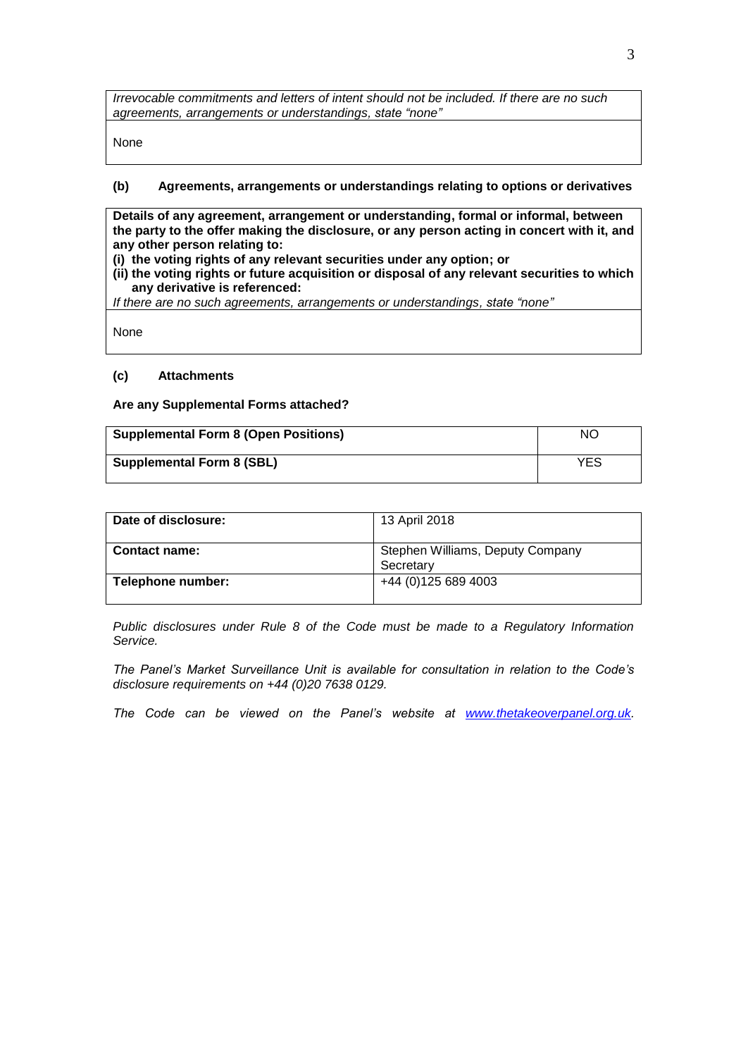*Irrevocable commitments and letters of intent should not be included. If there are no such agreements, arrangements or understandings, state "none"*

None

# **(b) Agreements, arrangements or understandings relating to options or derivatives**

**Details of any agreement, arrangement or understanding, formal or informal, between the party to the offer making the disclosure, or any person acting in concert with it, and any other person relating to:**

- **(i) the voting rights of any relevant securities under any option; or**
- **(ii) the voting rights or future acquisition or disposal of any relevant securities to which any derivative is referenced:**

*If there are no such agreements, arrangements or understandings, state "none"*

None

#### **(c) Attachments**

#### **Are any Supplemental Forms attached?**

| <b>Supplemental Form 8 (Open Positions)</b> | NO. |
|---------------------------------------------|-----|
| <b>Supplemental Form 8 (SBL)</b>            | YES |

| Date of disclosure:  | 13 April 2018                                 |
|----------------------|-----------------------------------------------|
| <b>Contact name:</b> | Stephen Williams, Deputy Company<br>Secretary |
| Telephone number:    | +44 (0)125 689 4003                           |

*Public disclosures under Rule 8 of the Code must be made to a Regulatory Information Service.*

*The Panel's Market Surveillance Unit is available for consultation in relation to the Code's disclosure requirements on +44 (0)20 7638 0129.*

*The Code can be viewed on the Panel's website at [www.thetakeoverpanel.org.uk.](http://www.thetakeoverpanel.org.uk/)*